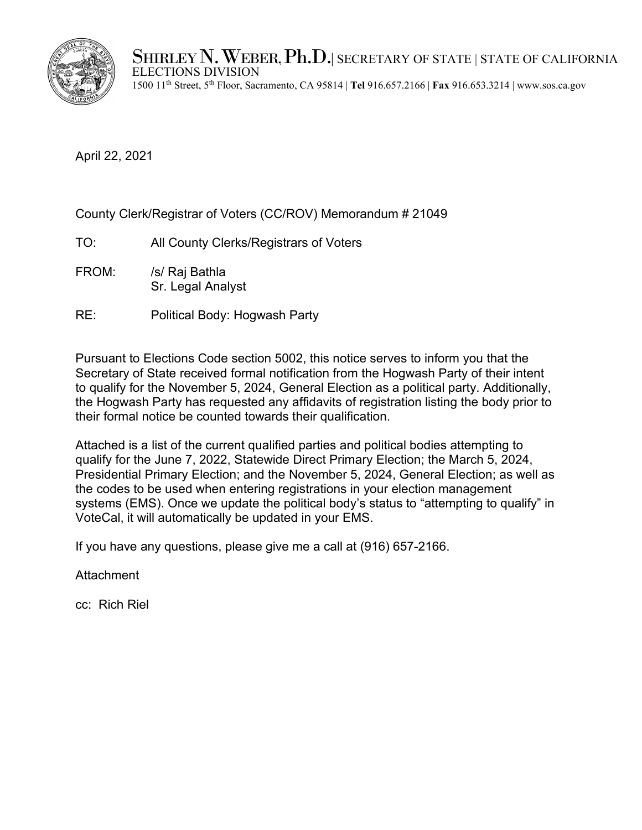

SHIRLEY N. WEBER, Ph.D.| SECRETARY OF STATE | STATE OF CALIFORNIA<br>ELECTIONS DIVISION

1500 11th Street, 5th Floor, Sacramento, CA 95814 | **Tel** 916.657.2166 | **Fax** 916.653.3214 | www.sos.ca.gov

April 22, 2021

County Clerk/Registrar of Voters (CC/ROV) Memorandum # 21049

- TO: All County Clerks/Registrars of Voters
- FROM: /s/ Raj Bathla Sr. Legal Analyst
- RE: Political Body: Hogwash Party

Pursuant to Elections Code section 5002, this notice serves to inform you that the Secretary of State received formal notification from the Hogwash Party of their intent to qualify for the November 5, 2024, General Election as a political party. Additionally, the Hogwash Party has requested any affidavits of registration listing the body prior to their formal notice be counted towards their qualification.

Attached is a list of the current qualified parties and political bodies attempting to qualify for the June 7, 2022, Statewide Direct Primary Election; the March 5, 2024, Presidential Primary Election; and the November 5, 2024, General Election; as well as the codes to be used when entering registrations in your election management systems (EMS). Once we update the political body's status to "attempting to qualify" in VoteCal, it will automatically be updated in your EMS.

If you have any questions, please give me a call at (916) 657-2166.

**Attachment** 

cc: Rich Riel